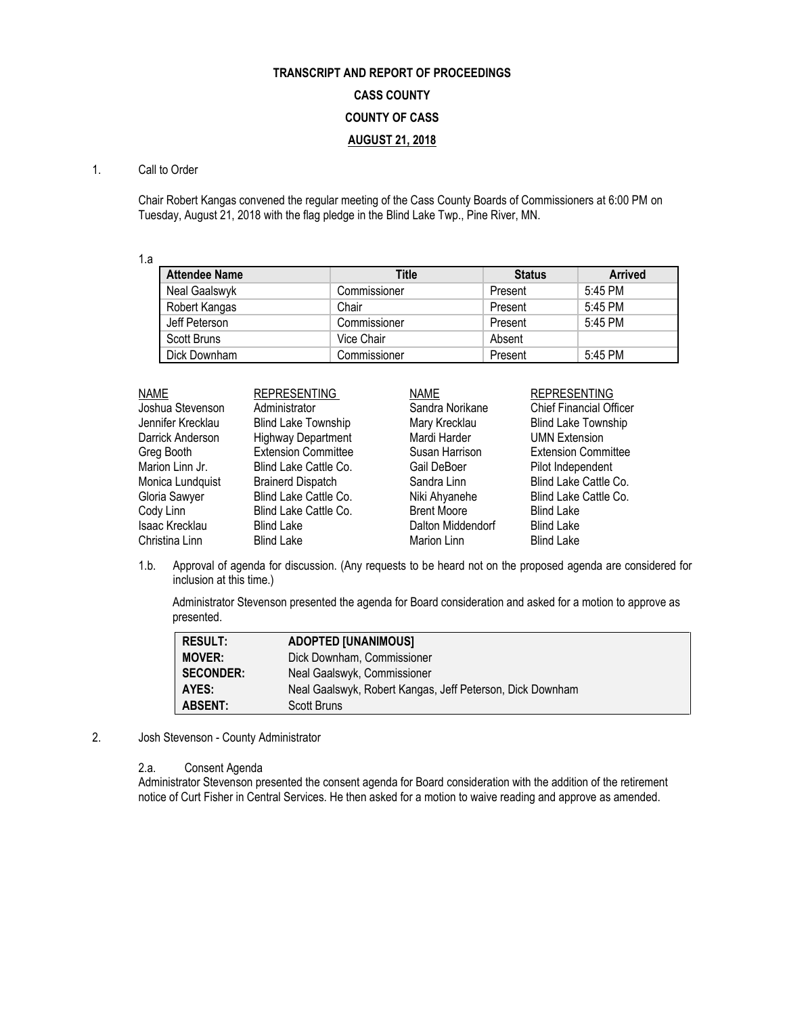# **TRANSCRIPT AND REPORT OF PROCEEDINGS CASS COUNTY COUNTY OF CASS AUGUST 21, 2018**

## 1. Call to Order

Chair Robert Kangas convened the regular meeting of the Cass County Boards of Commissioners at 6:00 PM on Tuesday, August 21, 2018 with the flag pledge in the Blind Lake Twp., Pine River, MN.

1.a

| <b>Attendee Name</b> | Title        | <b>Status</b> | <b>Arrived</b> |
|----------------------|--------------|---------------|----------------|
| Neal Gaalswyk        | Commissioner | Present       | 5:45 PM        |
| Robert Kangas        | Chair        | Present       | 5:45 PM        |
| Jeff Peterson        | Commissioner | Present       | 5:45 PM        |
| Scott Bruns          | Vice Chair   | Absent        |                |
| Dick Downham         | Commissioner | Present       | 5:45 PM        |

| <b>NAME</b>       | <b>REPRESENTING</b>        | <b>NAME</b>        | <b>REPRESENTING</b>        |
|-------------------|----------------------------|--------------------|----------------------------|
| Joshua Stevenson  | Administrator              | Sandra Norikane    | Chief Financial Officer    |
| Jennifer Krecklau | <b>Blind Lake Township</b> | Mary Krecklau      | <b>Blind Lake Township</b> |
| Darrick Anderson  | <b>Highway Department</b>  | Mardi Harder       | <b>UMN Extension</b>       |
| Greg Booth        | <b>Extension Committee</b> | Susan Harrison     | <b>Extension Committee</b> |
| Marion Linn Jr.   | Blind Lake Cattle Co.      | Gail DeBoer        | Pilot Independent          |
| Monica Lundquist  | <b>Brainerd Dispatch</b>   | Sandra Linn        | Blind Lake Cattle Co.      |
| Gloria Sawyer     | Blind Lake Cattle Co.      | Niki Ahyanehe      | Blind Lake Cattle Co.      |
| Cody Linn         | Blind Lake Cattle Co.      | <b>Brent Moore</b> | <b>Blind Lake</b>          |
| Isaac Krecklau    | <b>Blind Lake</b>          | Dalton Middendorf  | <b>Blind Lake</b>          |
| Christina Linn    | <b>Blind Lake</b>          | Marion Linn        | <b>Blind Lake</b>          |

1.b. Approval of agenda for discussion. (Any requests to be heard not on the proposed agenda are considered for inclusion at this time.)

Administrator Stevenson presented the agenda for Board consideration and asked for a motion to approve as presented.

| <b>RESULT:</b>   | <b>ADOPTED [UNANIMOUS]</b>                                |
|------------------|-----------------------------------------------------------|
| <b>MOVER:</b>    | Dick Downham, Commissioner                                |
| <b>SECONDER:</b> | Neal Gaalswyk, Commissioner                               |
| AYES:            | Neal Gaalswyk, Robert Kangas, Jeff Peterson, Dick Downham |
| <b>ABSENT:</b>   | Scott Bruns                                               |

2. Josh Stevenson - County Administrator

#### 2.a. Consent Agenda

Administrator Stevenson presented the consent agenda for Board consideration with the addition of the retirement notice of Curt Fisher in Central Services. He then asked for a motion to waive reading and approve as amended.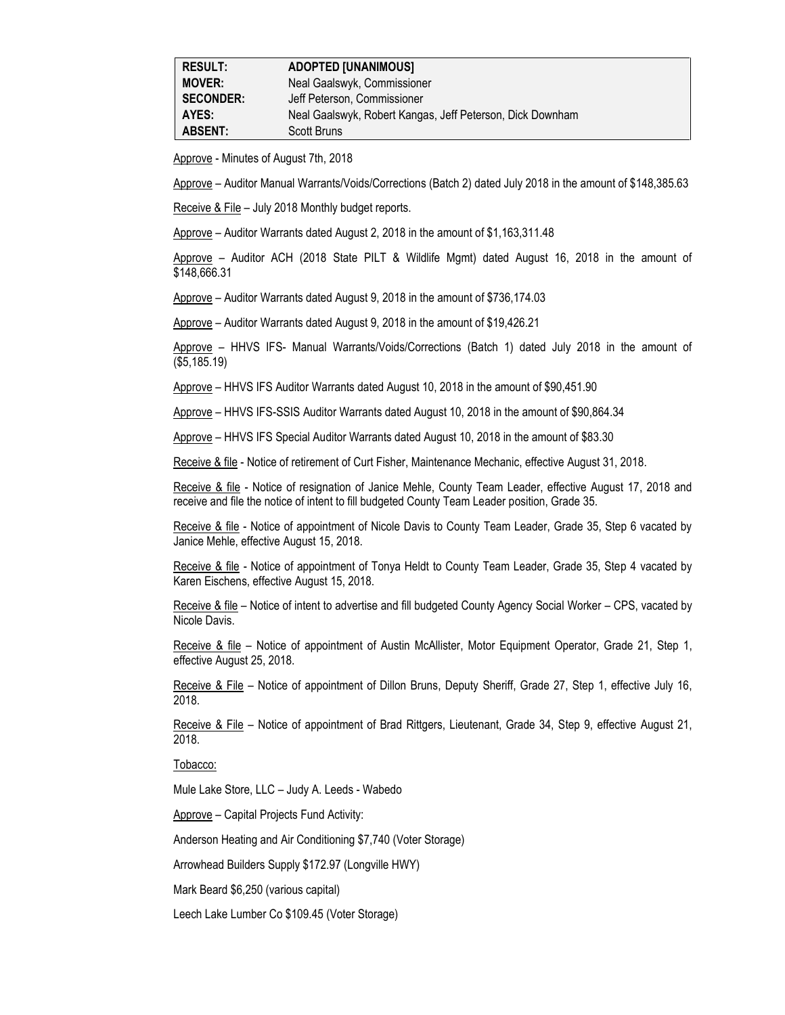| <b>RESULT:</b>   | <b>ADOPTED [UNANIMOUS]</b>                                |
|------------------|-----------------------------------------------------------|
| <b>MOVER:</b>    | Neal Gaalswyk, Commissioner                               |
| <b>SECONDER:</b> | Jeff Peterson, Commissioner                               |
| AYES:            | Neal Gaalswyk, Robert Kangas, Jeff Peterson, Dick Downham |
| <b>ABSENT:</b>   | Scott Bruns                                               |

Approve - Minutes of August 7th, 2018

Approve – Auditor Manual Warrants/Voids/Corrections (Batch 2) dated July 2018 in the amount of \$148,385.63

Receive & File – July 2018 Monthly budget reports.

Approve – Auditor Warrants dated August 2, 2018 in the amount of \$1,163,311.48

Approve – Auditor ACH (2018 State PILT & Wildlife Mgmt) dated August 16, 2018 in the amount of \$148,666.31

Approve – Auditor Warrants dated August 9, 2018 in the amount of \$736,174.03

Approve – Auditor Warrants dated August 9, 2018 in the amount of \$19,426.21

Approve – HHVS IFS- Manual Warrants/Voids/Corrections (Batch 1) dated July 2018 in the amount of (\$5,185.19)

Approve – HHVS IFS Auditor Warrants dated August 10, 2018 in the amount of \$90,451.90

Approve – HHVS IFS-SSIS Auditor Warrants dated August 10, 2018 in the amount of \$90,864.34

Approve – HHVS IFS Special Auditor Warrants dated August 10, 2018 in the amount of \$83.30

Receive & file - Notice of retirement of Curt Fisher, Maintenance Mechanic, effective August 31, 2018.

Receive & file - Notice of resignation of Janice Mehle, County Team Leader, effective August 17, 2018 and receive and file the notice of intent to fill budgeted County Team Leader position, Grade 35.

Receive & file - Notice of appointment of Nicole Davis to County Team Leader, Grade 35, Step 6 vacated by Janice Mehle, effective August 15, 2018.

Receive & file - Notice of appointment of Tonya Heldt to County Team Leader, Grade 35, Step 4 vacated by Karen Eischens, effective August 15, 2018.

Receive & file – Notice of intent to advertise and fill budgeted County Agency Social Worker – CPS, vacated by Nicole Davis.

Receive & file - Notice of appointment of Austin McAllister, Motor Equipment Operator, Grade 21, Step 1, effective August 25, 2018.

Receive & File – Notice of appointment of Dillon Bruns, Deputy Sheriff, Grade 27, Step 1, effective July 16, 2018.

Receive & File – Notice of appointment of Brad Rittgers, Lieutenant, Grade 34, Step 9, effective August 21, 2018.

Tobacco:

Mule Lake Store, LLC – Judy A. Leeds - Wabedo

Approve – Capital Projects Fund Activity:

Anderson Heating and Air Conditioning \$7,740 (Voter Storage)

Arrowhead Builders Supply \$172.97 (Longville HWY)

Mark Beard \$6,250 (various capital)

Leech Lake Lumber Co \$109.45 (Voter Storage)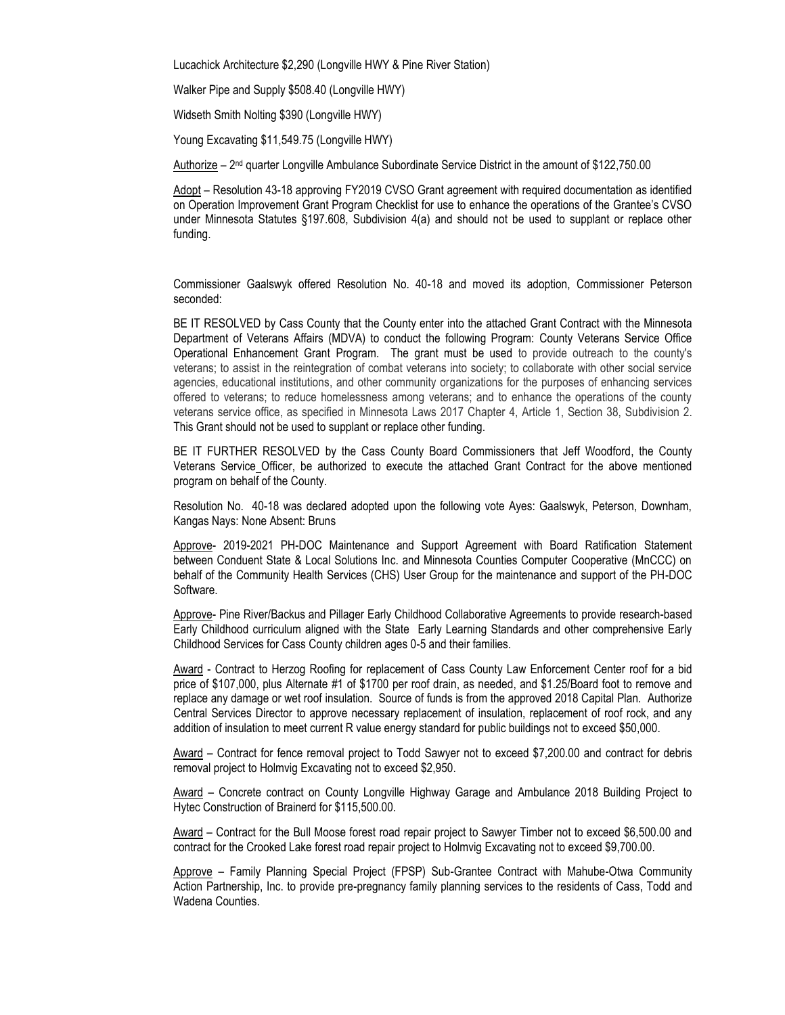Lucachick Architecture \$2,290 (Longville HWY & Pine River Station)

Walker Pipe and Supply \$508.40 (Longville HWY)

Widseth Smith Nolting \$390 (Longville HWY)

Young Excavating \$11,549.75 (Longville HWY)

Authorize – 2 nd quarter Longville Ambulance Subordinate Service District in the amount of \$122,750.00

Adopt – Resolution 43-18 approving FY2019 CVSO Grant agreement with required documentation as identified on Operation Improvement Grant Program Checklist for use to enhance the operations of the Grantee's CVSO under Minnesota Statutes §197.608, Subdivision 4(a) and should not be used to supplant or replace other funding.

Commissioner Gaalswyk offered Resolution No. 40-18 and moved its adoption, Commissioner Peterson seconded:

BE IT RESOLVED by Cass County that the County enter into the attached Grant Contract with the Minnesota Department of Veterans Affairs (MDVA) to conduct the following Program: County Veterans Service Office Operational Enhancement Grant Program. The grant must be used to provide outreach to the county's veterans; to assist in the reintegration of combat veterans into society; to collaborate with other social service agencies, educational institutions, and other community organizations for the purposes of enhancing services offered to veterans; to reduce homelessness among veterans; and to enhance the operations of the county veterans service office, as specified in Minnesota Laws 2017 Chapter 4, Article 1, Section 38, Subdivision 2. This Grant should not be used to supplant or replace other funding.

BE IT FURTHER RESOLVED by the Cass County Board Commissioners that Jeff Woodford, the County Veterans Service Officer, be authorized to execute the attached Grant Contract for the above mentioned program on behalf of the County.

Resolution No. 40-18 was declared adopted upon the following vote Ayes: Gaalswyk, Peterson, Downham, Kangas Nays: None Absent: Bruns

Approve- 2019-2021 PH-DOC Maintenance and Support Agreement with Board Ratification Statement between Conduent State & Local Solutions Inc. and Minnesota Counties Computer Cooperative (MnCCC) on behalf of the Community Health Services (CHS) User Group for the maintenance and support of the PH-DOC Software.

Approve- Pine River/Backus and Pillager Early Childhood Collaborative Agreements to provide research-based Early Childhood curriculum aligned with the State Early Learning Standards and other comprehensive Early Childhood Services for Cass County children ages 0-5 and their families.

Award - Contract to Herzog Roofing for replacement of Cass County Law Enforcement Center roof for a bid price of \$107,000, plus Alternate #1 of \$1700 per roof drain, as needed, and \$1.25/Board foot to remove and replace any damage or wet roof insulation. Source of funds is from the approved 2018 Capital Plan. Authorize Central Services Director to approve necessary replacement of insulation, replacement of roof rock, and any addition of insulation to meet current R value energy standard for public buildings not to exceed \$50,000.

Award – Contract for fence removal project to Todd Sawyer not to exceed \$7,200.00 and contract for debris removal project to Holmvig Excavating not to exceed \$2,950.

Award – Concrete contract on County Longville Highway Garage and Ambulance 2018 Building Project to Hytec Construction of Brainerd for \$115,500.00.

Award – Contract for the Bull Moose forest road repair project to Sawyer Timber not to exceed \$6,500.00 and contract for the Crooked Lake forest road repair project to Holmvig Excavating not to exceed \$9,700.00.

Approve – Family Planning Special Project (FPSP) Sub-Grantee Contract with Mahube-Otwa Community Action Partnership, Inc. to provide pre-pregnancy family planning services to the residents of Cass, Todd and Wadena Counties.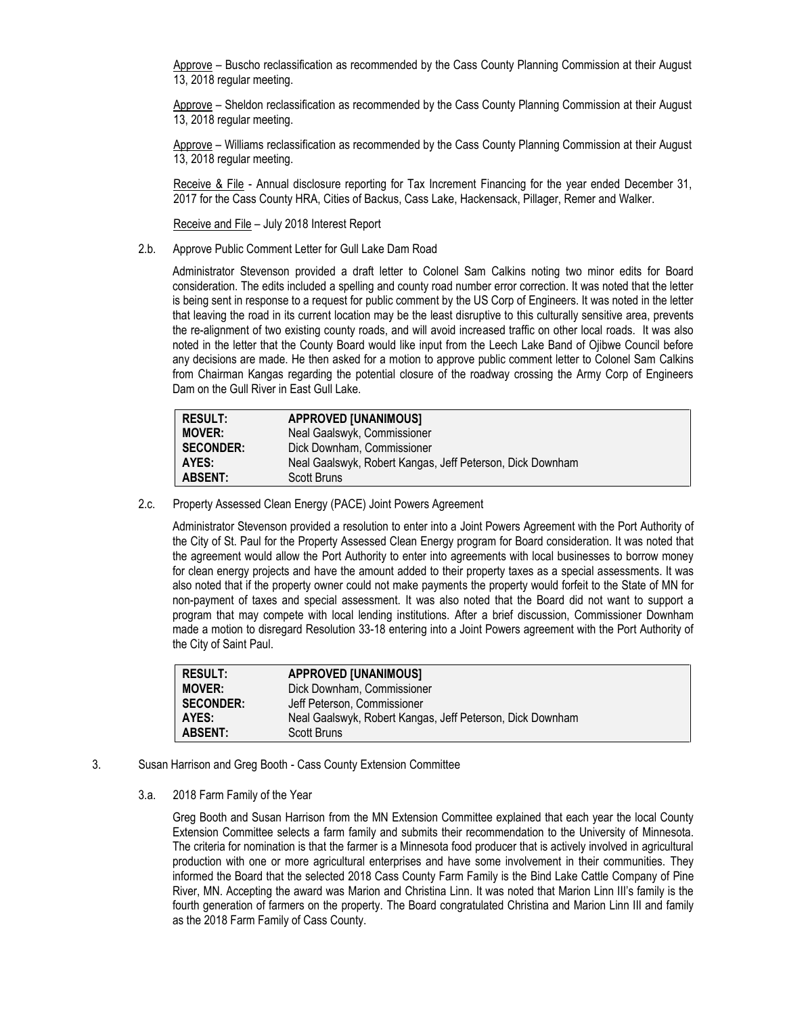Approve – Buscho reclassification as recommended by the Cass County Planning Commission at their August 13, 2018 regular meeting.

Approve – Sheldon reclassification as recommended by the Cass County Planning Commission at their August 13, 2018 regular meeting.

Approve – Williams reclassification as recommended by the Cass County Planning Commission at their August 13, 2018 regular meeting.

Receive & File - Annual disclosure reporting for Tax Increment Financing for the year ended December 31, 2017 for the Cass County HRA, Cities of Backus, Cass Lake, Hackensack, Pillager, Remer and Walker.

Receive and File – July 2018 Interest Report

2.b. Approve Public Comment Letter for Gull Lake Dam Road

Administrator Stevenson provided a draft letter to Colonel Sam Calkins noting two minor edits for Board consideration. The edits included a spelling and county road number error correction. It was noted that the letter is being sent in response to a request for public comment by the US Corp of Engineers. It was noted in the letter that leaving the road in its current location may be the least disruptive to this culturally sensitive area, prevents the re-alignment of two existing county roads, and will avoid increased traffic on other local roads. It was also noted in the letter that the County Board would like input from the Leech Lake Band of Ojibwe Council before any decisions are made. He then asked for a motion to approve public comment letter to Colonel Sam Calkins from Chairman Kangas regarding the potential closure of the roadway crossing the Army Corp of Engineers Dam on the Gull River in East Gull Lake.

| <b>RESULT:</b>   | <b>APPROVED [UNANIMOUS]</b>                               |
|------------------|-----------------------------------------------------------|
| <b>MOVER:</b>    | Neal Gaalswyk, Commissioner                               |
| <b>SECONDER:</b> | Dick Downham, Commissioner                                |
| AYES:            | Neal Gaalswyk, Robert Kangas, Jeff Peterson, Dick Downham |
| <b>ABSENT:</b>   | Scott Bruns                                               |

2.c. Property Assessed Clean Energy (PACE) Joint Powers Agreement

Administrator Stevenson provided a resolution to enter into a Joint Powers Agreement with the Port Authority of the City of St. Paul for the Property Assessed Clean Energy program for Board consideration. It was noted that the agreement would allow the Port Authority to enter into agreements with local businesses to borrow money for clean energy projects and have the amount added to their property taxes as a special assessments. It was also noted that if the property owner could not make payments the property would forfeit to the State of MN for non-payment of taxes and special assessment. It was also noted that the Board did not want to support a program that may compete with local lending institutions. After a brief discussion, Commissioner Downham made a motion to disregard Resolution 33-18 entering into a Joint Powers agreement with the Port Authority of the City of Saint Paul.

| <b>RESULT:</b>   | <b>APPROVED [UNANIMOUS]</b>                               |
|------------------|-----------------------------------------------------------|
| <b>MOVER:</b>    | Dick Downham, Commissioner                                |
| <b>SECONDER:</b> | Jeff Peterson, Commissioner                               |
| AYES:            | Neal Gaalswyk, Robert Kangas, Jeff Peterson, Dick Downham |
| <b>ABSENT:</b>   | Scott Bruns                                               |

- 3. Susan Harrison and Greg Booth Cass County Extension Committee
	- 3.a. 2018 Farm Family of the Year

Greg Booth and Susan Harrison from the MN Extension Committee explained that each year the local County Extension Committee selects a farm family and submits their recommendation to the University of Minnesota. The criteria for nomination is that the farmer is a Minnesota food producer that is actively involved in agricultural production with one or more agricultural enterprises and have some involvement in their communities. They informed the Board that the selected 2018 Cass County Farm Family is the Bind Lake Cattle Company of Pine River, MN. Accepting the award was Marion and Christina Linn. It was noted that Marion Linn III's family is the fourth generation of farmers on the property. The Board congratulated Christina and Marion Linn III and family as the 2018 Farm Family of Cass County.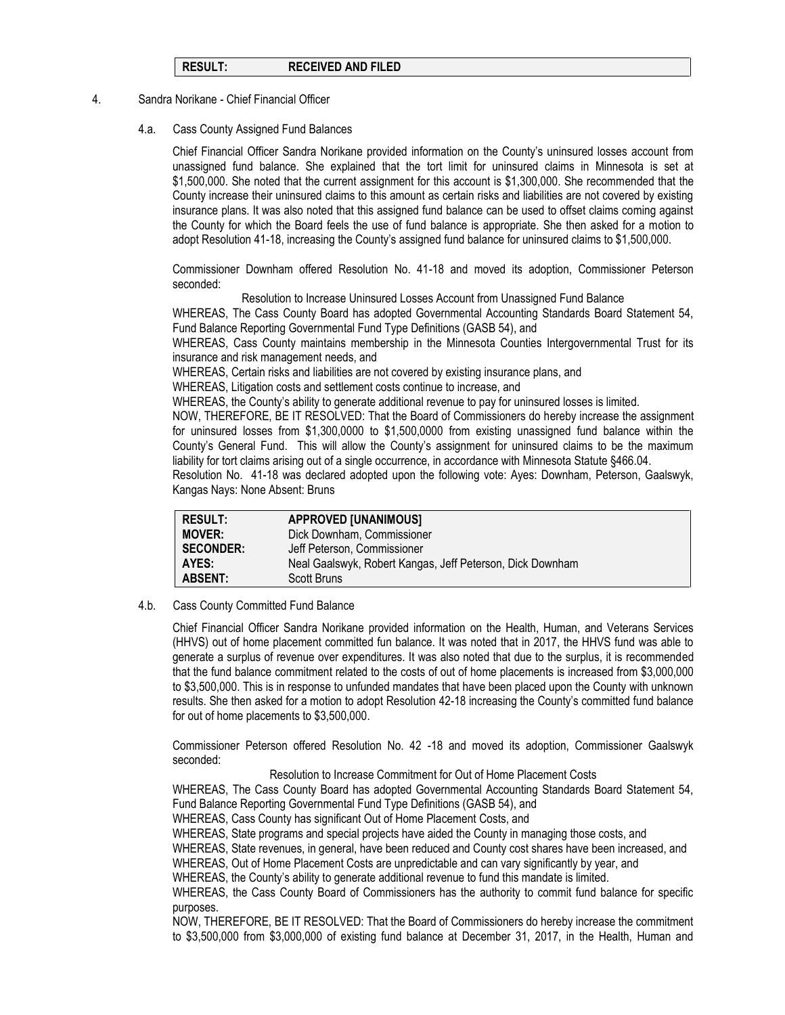## **RESULT: RECEIVED AND FILED**

#### 4. Sandra Norikane - Chief Financial Officer

4.a. Cass County Assigned Fund Balances

Chief Financial Officer Sandra Norikane provided information on the County's uninsured losses account from unassigned fund balance. She explained that the tort limit for uninsured claims in Minnesota is set at \$1,500,000. She noted that the current assignment for this account is \$1,300,000. She recommended that the County increase their uninsured claims to this amount as certain risks and liabilities are not covered by existing insurance plans. It was also noted that this assigned fund balance can be used to offset claims coming against the County for which the Board feels the use of fund balance is appropriate. She then asked for a motion to adopt Resolution 41-18, increasing the County's assigned fund balance for uninsured claims to \$1,500,000.

Commissioner Downham offered Resolution No. 41-18 and moved its adoption, Commissioner Peterson seconded:

Resolution to Increase Uninsured Losses Account from Unassigned Fund Balance

WHEREAS, The Cass County Board has adopted Governmental Accounting Standards Board Statement 54, Fund Balance Reporting Governmental Fund Type Definitions (GASB 54), and

WHEREAS, Cass County maintains membership in the Minnesota Counties Intergovernmental Trust for its insurance and risk management needs, and

WHEREAS, Certain risks and liabilities are not covered by existing insurance plans, and

WHEREAS, Litigation costs and settlement costs continue to increase, and

WHEREAS, the County's ability to generate additional revenue to pay for uninsured losses is limited.

NOW, THEREFORE, BE IT RESOLVED: That the Board of Commissioners do hereby increase the assignment for uninsured losses from \$1,300,0000 to \$1,500,0000 from existing unassigned fund balance within the County's General Fund. This will allow the County's assignment for uninsured claims to be the maximum liability for tort claims arising out of a single occurrence, in accordance with Minnesota Statute §466.04.

Resolution No. 41-18 was declared adopted upon the following vote: Ayes: Downham, Peterson, Gaalswyk, Kangas Nays: None Absent: Bruns

| <b>RESULT:</b>   | <b>APPROVED [UNANIMOUS]</b>                               |
|------------------|-----------------------------------------------------------|
| <b>MOVER:</b>    | Dick Downham, Commissioner                                |
| <b>SECONDER:</b> | Jeff Peterson, Commissioner                               |
| AYES:            | Neal Gaalswyk, Robert Kangas, Jeff Peterson, Dick Downham |
| <b>ABSENT:</b>   | Scott Bruns                                               |

4.b. Cass County Committed Fund Balance

Chief Financial Officer Sandra Norikane provided information on the Health, Human, and Veterans Services (HHVS) out of home placement committed fun balance. It was noted that in 2017, the HHVS fund was able to generate a surplus of revenue over expenditures. It was also noted that due to the surplus, it is recommended that the fund balance commitment related to the costs of out of home placements is increased from \$3,000,000 to \$3,500,000. This is in response to unfunded mandates that have been placed upon the County with unknown results. She then asked for a motion to adopt Resolution 42-18 increasing the County's committed fund balance for out of home placements to \$3,500,000.

Commissioner Peterson offered Resolution No. 42 -18 and moved its adoption, Commissioner Gaalswyk seconded:

Resolution to Increase Commitment for Out of Home Placement Costs

WHEREAS, The Cass County Board has adopted Governmental Accounting Standards Board Statement 54, Fund Balance Reporting Governmental Fund Type Definitions (GASB 54), and

WHEREAS, Cass County has significant Out of Home Placement Costs, and

WHEREAS, State programs and special projects have aided the County in managing those costs, and

WHEREAS, State revenues, in general, have been reduced and County cost shares have been increased, and

WHEREAS, Out of Home Placement Costs are unpredictable and can vary significantly by year, and

WHEREAS, the County's ability to generate additional revenue to fund this mandate is limited.

WHEREAS, the Cass County Board of Commissioners has the authority to commit fund balance for specific purposes.

NOW, THEREFORE, BE IT RESOLVED: That the Board of Commissioners do hereby increase the commitment to \$3,500,000 from \$3,000,000 of existing fund balance at December 31, 2017, in the Health, Human and